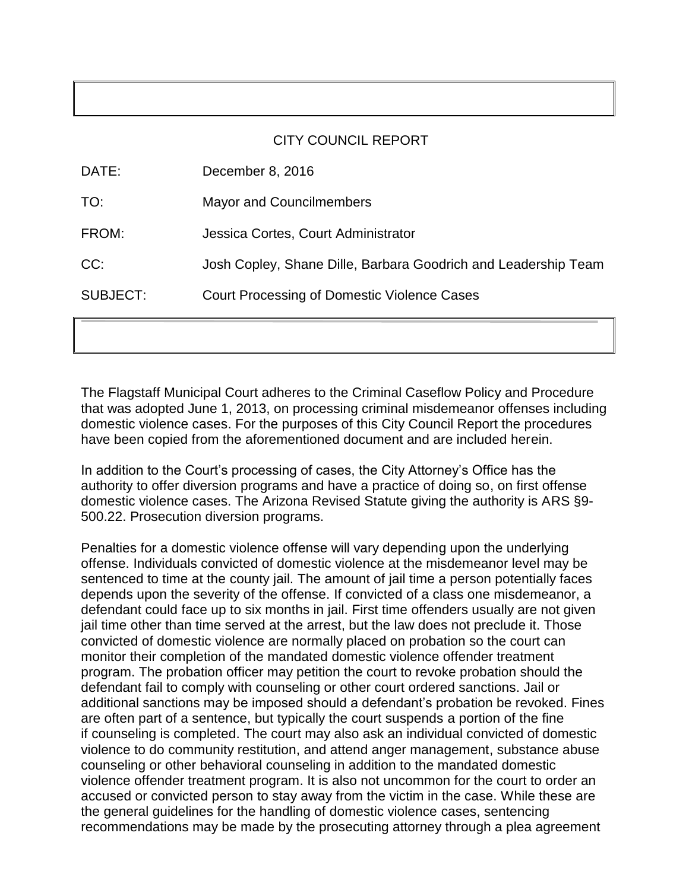### CITY COUNCIL REPORT

| <b>SUBJECT:</b> | Court Processing of Domestic Violence Cases                    |
|-----------------|----------------------------------------------------------------|
| CC:             | Josh Copley, Shane Dille, Barbara Goodrich and Leadership Team |
| FROM:           | Jessica Cortes, Court Administrator                            |
| TO:             | <b>Mayor and Councilmembers</b>                                |
| DATE:           | December 8, 2016                                               |

The Flagstaff Municipal Court adheres to the Criminal Caseflow Policy and Procedure that was adopted June 1, 2013, on processing criminal misdemeanor offenses including domestic violence cases. For the purposes of this City Council Report the procedures have been copied from the aforementioned document and are included herein.

In addition to the Court's processing of cases, the City Attorney's Office has the authority to offer diversion programs and have a practice of doing so, on first offense domestic violence cases. The Arizona Revised Statute giving the authority is ARS [§9](http://www.azleg.state.az.us/FormatDocument.asp?inDoc=/ars/13/03904.htm&Title=13&DocType=ARS)- 500.22. Prosecution diversion programs.

Penalties for a domestic violence offense will vary depending upon the underlying offense. Individuals convicted of domestic violence at the misdemeanor level may be sentenced to time at the county jail. The amount of jail time a person potentially faces depends upon the severity of the offense. If convicted of a class one misdemeanor, a defendant could face up to six months in jail. First time offenders usually are not given jail time other than time served at the arrest, but the law does not preclude it. Those convicted of domestic violence are normally placed on probation so the court can monitor their completion of the mandated domestic violence offender treatment program. The probation officer may petition the court to revoke probation should the defendant fail to comply with counseling or other court ordered sanctions. Jail or additional sanctions may be imposed should a defendant's probation be revoked. Fines are often part of a sentence, but typically the court suspends a portion of the fine if counseling is completed. The court may also ask an individual convicted of domestic violence to do community restitution, and attend anger management, substance abuse counseling or other behavioral counseling in addition to the mandated domestic violence offender treatment program. It is also not uncommon for the court to order an accused or convicted person to stay away from the victim in the case. While these are the general guidelines for the handling of domestic violence cases, sentencing recommendations may be made by the prosecuting attorney through a plea agreement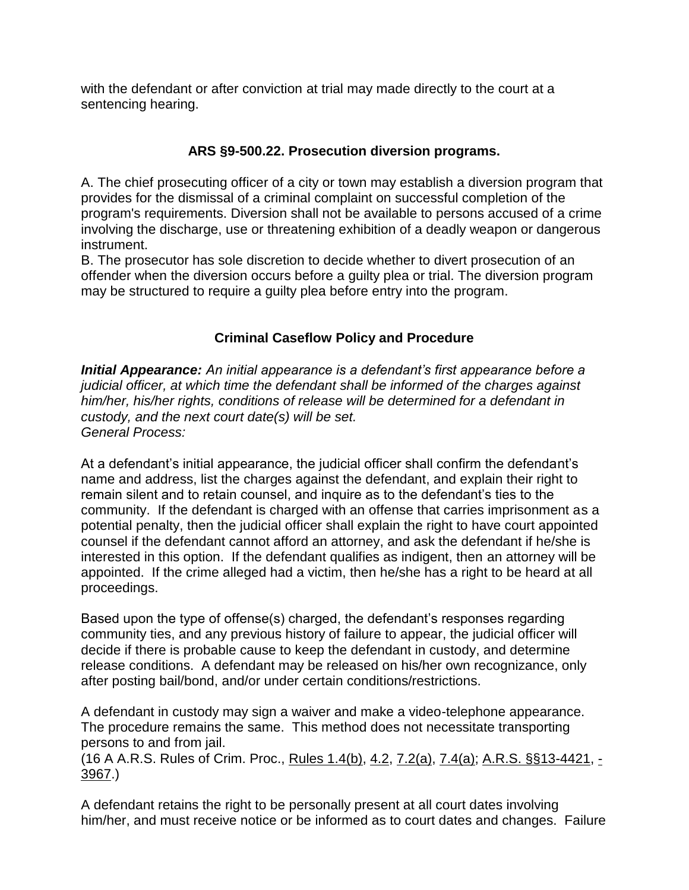with the defendant or after conviction at trial may made directly to the court at a sentencing hearing.

## **ARS [§9](http://www.azleg.state.az.us/FormatDocument.asp?inDoc=/ars/13/03904.htm&Title=13&DocType=ARS)-500.22. Prosecution diversion programs.**

A. The chief prosecuting officer of a city or town may establish a diversion program that provides for the dismissal of a criminal complaint on successful completion of the program's requirements. Diversion shall not be available to persons accused of a crime involving the discharge, use or threatening exhibition of a deadly weapon or dangerous instrument.

B. The prosecutor has sole discretion to decide whether to divert prosecution of an offender when the diversion occurs before a guilty plea or trial. The diversion program may be structured to require a guilty plea before entry into the program.

# **Criminal Caseflow Policy and Procedure**

*Initial Appearance: An initial appearance is a defendant's first appearance before a judicial officer, at which time the defendant shall be informed of the charges against him/her, his/her rights, conditions of release will be determined for a defendant in custody, and the next court date(s) will be set. General Process:*

At a defendant's initial appearance, the judicial officer shall confirm the defendant's name and address, list the charges against the defendant, and explain their right to remain silent and to retain counsel, and inquire as to the defendant's ties to the community. If the defendant is charged with an offense that carries imprisonment as a potential penalty, then the judicial officer shall explain the right to have court appointed counsel if the defendant cannot afford an attorney, and ask the defendant if he/she is interested in this option. If the defendant qualifies as indigent, then an attorney will be appointed. If the crime alleged had a victim, then he/she has a right to be heard at all proceedings.

Based upon the type of offense(s) charged, the defendant's responses regarding community ties, and any previous history of failure to appear, the judicial officer will decide if there is probable cause to keep the defendant in custody, and determine release conditions. A defendant may be released on his/her own recognizance, only after posting bail/bond, and/or under certain conditions/restrictions.

A defendant in custody may sign a waiver and make a video-telephone appearance. The procedure remains the same. This method does not necessitate transporting persons to and from jail.

(16 A A.R.S. Rules of Crim. Proc., [Rules 1.4\(b\),](http://azrules.westgroup.com/Find/Default.wl?DocName=AZSTRCRPR1%2E4&FindType=W&DB=AZ-TOC-WEB%3BSTAAZTOC&RS=WLW2%2E07&VR=2%2E0) [4.2,](http://azrules.westgroup.com/Find/Default.wl?DocName=AZSTRCRPR4%2E2&FindType=W&DB=AZ-TOC-WEB%3BSTAAZTOC&RS=WLW2%2E07&VR=2%2E0) [7.2\(a\),](http://azrules.westgroup.com/Find/Default.wl?DocName=AZSTRCRPR7%2E2&FindType=W&DB=AZ-TOC-WEB%3BSTAAZTOC&RS=WLW2%2E07&VR=2%2E0) [7.4\(a\);](http://azrules.westgroup.com/Find/Default.wl?DocName=AZSTRCRPR7%2E4&FindType=W&DB=AZ-TOC-WEB%3BSTAAZTOC&RS=WLW2%2E07&VR=2%2E0) [A.R.S. §§13-4421,](http://www.azleg.state.az.us/FormatDocument.asp?inDoc=/ars/13/04421.htm&Title=13&DocType=ARS) - [3967.](http://www.azleg.state.az.us/FormatDocument.asp?inDoc=/ars/13/03967.htm&Title=13&DocType=ARS))

A defendant retains the right to be personally present at all court dates involving him/her, and must receive notice or be informed as to court dates and changes. Failure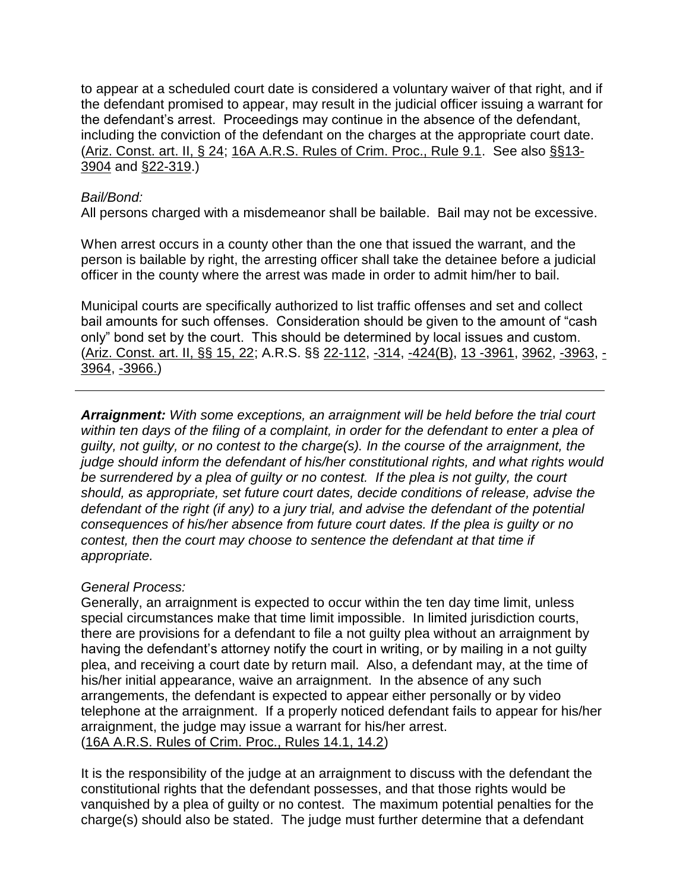to appear at a scheduled court date is considered a voluntary waiver of that right, and if the defendant promised to appear, may result in the judicial officer issuing a warrant for the defendant's arrest. Proceedings may continue in the absence of the defendant, including the conviction of the defendant on the charges at the appropriate court date. [\(Ariz. Const. art. II, § 24;](http://www.azleg.state.az.us/const/constitution2000.pdf) [16A A.R.S. Rules of Crim. Proc., Rule 9.1.](http://azrules.westgroup.com/Find/Default.wl?DocName=AZSTRCRPR9%2E1&FindType=W&DB=AZ-TOC-WEB%3BSTAAZTOC&RS=WLW2%2E07&VR=2%2E0) See also [§§13-](http://www.azleg.state.az.us/FormatDocument.asp?inDoc=/ars/13/03904.htm&Title=13&DocType=ARS) [3904](http://www.azleg.state.az.us/FormatDocument.asp?inDoc=/ars/13/03904.htm&Title=13&DocType=ARS) and [§22-319.](http://www.azleg.state.az.us/FormatDocument.asp?inDoc=/ars/22/00319.htm&Title=22&DocType=ARS))

### *Bail/Bond:*

All persons charged with a misdemeanor shall be bailable. Bail may not be excessive.

When arrest occurs in a county other than the one that issued the warrant, and the person is bailable by right, the arresting officer shall take the detainee before a judicial officer in the county where the arrest was made in order to admit him/her to bail.

Municipal courts are specifically authorized to list traffic offenses and set and collect bail amounts for such offenses. Consideration should be given to the amount of "cash only" bond set by the court. This should be determined by local issues and custom. [\(Ariz. Const. art. II, §§ 15, 22;](http://www.azleg.state.az.us/const/constitution2000.pdf) A.R.S. §§ [22-112,](http://www.azleg.state.az.us/FormatDocument.asp?inDoc=/ars/22/00112.htm&Title=22&DocType=ARS) [-314,](http://www.azleg.state.az.us/FormatDocument.asp?inDoc=/ars/22/00314.htm&Title=22&DocType=ARS) [-424\(B\),](http://www.azleg.state.az.us/FormatDocument.asp?inDoc=/ars/22/00424.htm&Title=22&DocType=ARS) [13 -3961,](http://www.azleg.state.az.us/FormatDocument.asp?inDoc=/ars/13/03961.htm&Title=13&DocType=ARS) [3962,](http://www.azleg.state.az.us/FormatDocument.asp?inDoc=/ars/13/03962.htm&Title=13&DocType=ARS) [-3963,](http://www.azleg.state.az.us/FormatDocument.asp?inDoc=/ars/13/03963.htm&Title=13&DocType=ARS) [-](http://www.azleg.state.az.us/FormatDocument.asp?inDoc=/ars/13/03964.htm&Title=13&DocType=ARS) [3964,](http://www.azleg.state.az.us/FormatDocument.asp?inDoc=/ars/13/03964.htm&Title=13&DocType=ARS) [-3966.\)](http://www.azleg.state.az.us/FormatDocument.asp?inDoc=/ars/13/03966.htm&Title=13&DocType=ARS)

*Arraignment: With some exceptions, an arraignment will be held before the trial court within ten days of the filing of a complaint, in order for the defendant to enter a plea of guilty, not guilty, or no contest to the charge(s). In the course of the arraignment, the judge should inform the defendant of his/her constitutional rights, and what rights would be surrendered by a plea of guilty or no contest. If the plea is not guilty, the court should, as appropriate, set future court dates, decide conditions of release, advise the defendant of the right (if any) to a jury trial, and advise the defendant of the potential consequences of his/her absence from future court dates. If the plea is guilty or no contest, then the court may choose to sentence the defendant at that time if appropriate.*

## *General Process:*

Generally, an arraignment is expected to occur within the ten day time limit, unless special circumstances make that time limit impossible. In limited jurisdiction courts, there are provisions for a defendant to file a not guilty plea without an arraignment by having the defendant's attorney notify the court in writing, or by mailing in a not guilty plea, and receiving a court date by return mail. Also, a defendant may, at the time of his/her initial appearance, waive an arraignment. In the absence of any such arrangements, the defendant is expected to appear either personally or by video telephone at the arraignment. If a properly noticed defendant fails to appear for his/her arraignment, the judge may issue a warrant for his/her arrest. [\(16A A.R.S. Rules of Crim. Proc., Rules 14.1, 14.2\)](http://azrules.westgroup.com/toc/default.wl?RLT=CLID%5FTOCRLT5553182&oFindType=V&oDocName=AZ006335891&oDB=AZ%2DRULES%2DWEB%3BST)

It is the responsibility of the judge at an arraignment to discuss with the defendant the constitutional rights that the defendant possesses, and that those rights would be vanquished by a plea of guilty or no contest. The maximum potential penalties for the charge(s) should also be stated. The judge must further determine that a defendant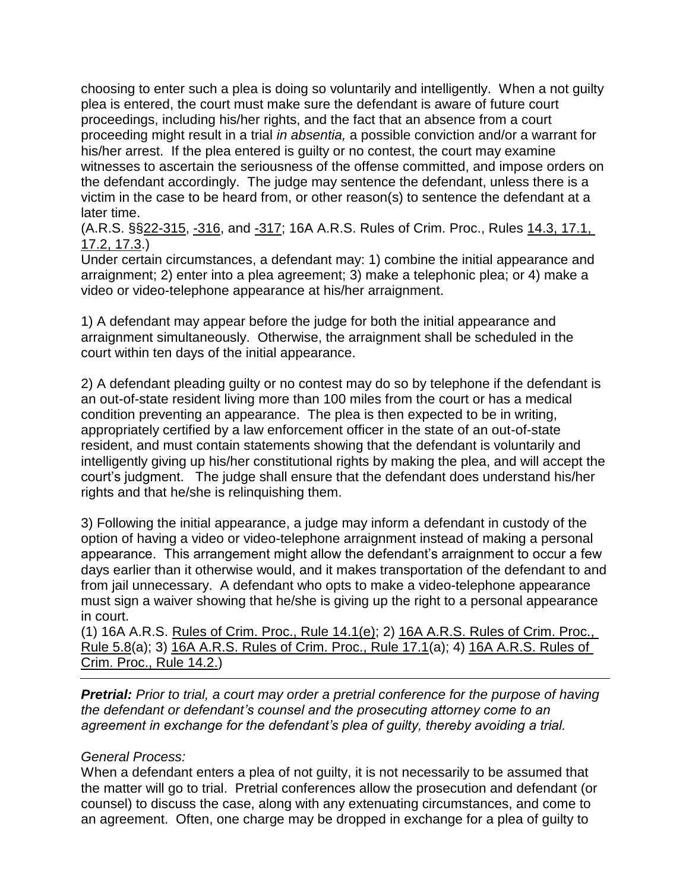choosing to enter such a plea is doing so voluntarily and intelligently. When a not guilty plea is entered, the court must make sure the defendant is aware of future court proceedings, including his/her rights, and the fact that an absence from a court proceeding might result in a trial *in absentia,* a possible conviction and/or a warrant for his/her arrest. If the plea entered is guilty or no contest, the court may examine witnesses to ascertain the seriousness of the offense committed, and impose orders on the defendant accordingly. The judge may sentence the defendant, unless there is a victim in the case to be heard from, or other reason(s) to sentence the defendant at a later time.

(A.R.S. §[§22-315,](http://www.azleg.state.az.us/FormatDocument.asp?inDoc=/ars/22/00315.htm&Title=22&DocType=ARS) [-316,](http://www.azleg.state.az.us/FormatDocument.asp?inDoc=/ars/22/00316.htm&Title=22&DocType=ARS) and [-317;](http://www.azleg.state.az.us/FormatDocument.asp?inDoc=/ars/22/00317.htm&Title=22&DocType=ARS) 16A A.R.S. Rules of Crim. Proc., Rules [14.3, 17.1,](http://azrules.westgroup.com/toc/default.wl?strrecreate=yes&ofindtype=V&errhost=azrules%2Ewestgroup%2Ecom&odocname=AZ006335891&)  [17.2, 17.3.](http://azrules.westgroup.com/toc/default.wl?strrecreate=yes&ofindtype=V&errhost=azrules%2Ewestgroup%2Ecom&odocname=AZ006335891&))

Under certain circumstances, a defendant may: 1) combine the initial appearance and arraignment; 2) enter into a plea agreement; 3) make a telephonic plea; or 4) make a video or video-telephone appearance at his/her arraignment.

1) A defendant may appear before the judge for both the initial appearance and arraignment simultaneously. Otherwise, the arraignment shall be scheduled in the court within ten days of the initial appearance.

2) A defendant pleading guilty or no contest may do so by telephone if the defendant is an out-of-state resident living more than 100 miles from the court or has a medical condition preventing an appearance. The plea is then expected to be in writing, appropriately certified by a law enforcement officer in the state of an out-of-state resident, and must contain statements showing that the defendant is voluntarily and intelligently giving up his/her constitutional rights by making the plea, and will accept the court's judgment. The judge shall ensure that the defendant does understand his/her rights and that he/she is relinquishing them.

3) Following the initial appearance, a judge may inform a defendant in custody of the option of having a video or video-telephone arraignment instead of making a personal appearance. This arrangement might allow the defendant's arraignment to occur a few days earlier than it otherwise would, and it makes transportation of the defendant to and from jail unnecessary. A defendant who opts to make a video-telephone appearance must sign a waiver showing that he/she is giving up the right to a personal appearance in court.

(1) 16A A.R.S. [Rules of Crim. Proc., Rule 14.1\(e\);](http://azrules.westgroup.com/Find/Default.wl?DocName=AZSTRCRPR14%2E1&FindType=W&DB=AZ-TOC-WEB%3BSTAAZTOC&RS=WLW2%2E07&VR=2%2E0) 2) [16A A.R.S. Rules of Crim. Proc.,](http://azrules.westgroup.com/Find/Default.wl?DocName=AZSTRCRPR5%2E8&FindType=W&DB=AZ-TOC-WEB%3BSTAAZTOC&RS=WLW2%2E07&VR=2%2E0)  [Rule 5.8\(](http://azrules.westgroup.com/Find/Default.wl?DocName=AZSTRCRPR5%2E8&FindType=W&DB=AZ-TOC-WEB%3BSTAAZTOC&RS=WLW2%2E07&VR=2%2E0)a); 3) [16A A.R.S. Rules of Crim. Proc., Rule 17.1\(](http://azrules.westgroup.com/Find/Default.wl?DocName=AZSTRCRPR17%2E1&FindType=W&DB=AZ-TOC-WEB%3BSTAAZTOC&RS=WLW2%2E07&VR=2%2E0)a); 4) [16A A.R.S. Rules of](http://azrules.westgroup.com/Find/Default.wl?DocName=AZSTRCRPR14%2E2&FindType=W&DB=AZ-TOC-WEB%3BSTAAZTOC&RS=WLW2%2E07&VR=2%2E0)  [Crim. Proc., Rule 14.2.\)](http://azrules.westgroup.com/Find/Default.wl?DocName=AZSTRCRPR14%2E2&FindType=W&DB=AZ-TOC-WEB%3BSTAAZTOC&RS=WLW2%2E07&VR=2%2E0)

*Pretrial: Prior to trial, a court may order a pretrial conference for the purpose of having the defendant or defendant's counsel and the prosecuting attorney come to an agreement in exchange for the defendant's plea of guilty, thereby avoiding a trial.*

### *General Process:*

When a defendant enters a plea of not guilty, it is not necessarily to be assumed that the matter will go to trial. Pretrial conferences allow the prosecution and defendant (or counsel) to discuss the case, along with any extenuating circumstances, and come to an agreement. Often, one charge may be dropped in exchange for a plea of guilty to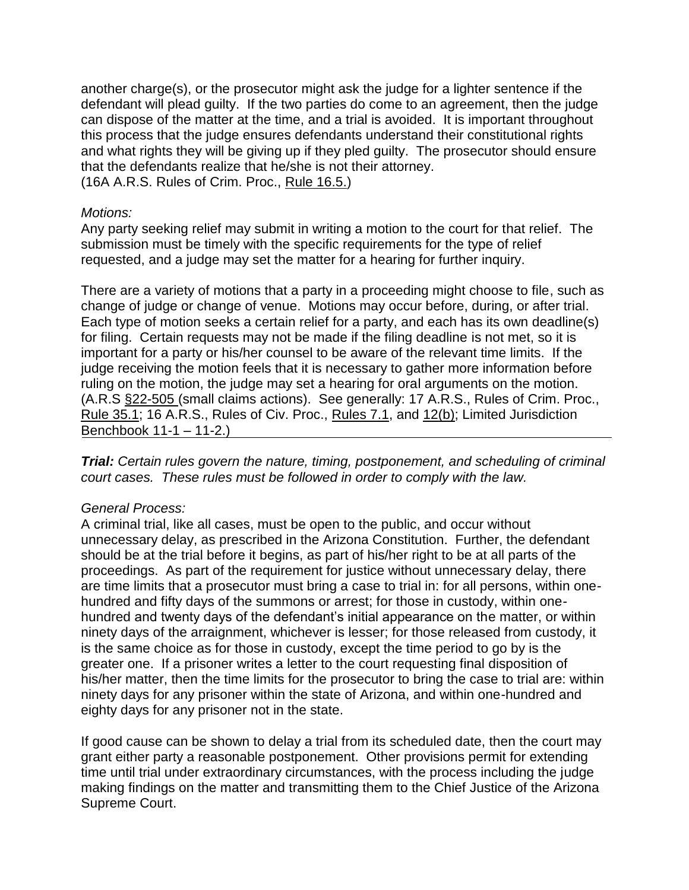another charge(s), or the prosecutor might ask the judge for a lighter sentence if the defendant will plead guilty. If the two parties do come to an agreement, then the judge can dispose of the matter at the time, and a trial is avoided. It is important throughout this process that the judge ensures defendants understand their constitutional rights and what rights they will be giving up if they pled guilty. The prosecutor should ensure that the defendants realize that he/she is not their attorney. (16A A.R.S. Rules of Crim. Proc., [Rule 16.5.\)](http://azrules.westgroup.com/Find/Default.wl?DocName=AZSTRCRPR16%2E5&FindType=W&DB=AZ-TOC-WEB%3BSTAAZTOC&RS=WLW2%2E07&VR=2%2E0)

### *Motions:*

Any party seeking relief may submit in writing a motion to the court for that relief. The submission must be timely with the specific requirements for the type of relief requested, and a judge may set the matter for a hearing for further inquiry.

There are a variety of motions that a party in a proceeding might choose to file, such as change of judge or change of venue. Motions may occur before, during, or after trial. Each type of motion seeks a certain relief for a party, and each has its own deadline(s) for filing. Certain requests may not be made if the filing deadline is not met, so it is important for a party or his/her counsel to be aware of the relevant time limits. If the judge receiving the motion feels that it is necessary to gather more information before ruling on the motion, the judge may set a hearing for oral arguments on the motion. (A.R.S [§22-505 \(](http://www.azleg.state.az.us/FormatDocument.asp?inDoc=/ars/22/00505.htm&Title=22&DocType=ARS)small claims actions). See generally: 17 A.R.S., Rules of Crim. Proc., [Rule 35.1;](http://azrules.westgroup.com/Find/Default.wl?DocName=AZSTRCRPR35%2E1&FindType=W&DB=AZ-TOC-WEB%3BSTAAZTOC&RS=WLW2%2E07&VR=2%2E0) 16 A.R.S., Rules of Civ. Proc., [Rules 7.1,](http://azrules.westgroup.com/toc/default.wl?RLT=CLID%5FTOCRLT1635192&oFindType=V&oDocName=AZ006335891&oDB=AZ%2DRULES%2DWEB%3BST) and [12\(b\);](http://azrules.westgroup.com/toc/default.wl?RLT=CLID%5FTOCRLT1635192&oFindType=V&oDocName=AZ006335891&oDB=AZ%2DRULES%2DWEB%3BST) Limited Jurisdiction Benchbook 11-1 – 11-2.)

*Trial: Certain rules govern the nature, timing, postponement, and scheduling of criminal court cases. These rules must be followed in order to comply with the law.*

#### *General Process:*

A criminal trial, like all cases, must be open to the public, and occur without unnecessary delay, as prescribed in the Arizona Constitution. Further, the defendant should be at the trial before it begins, as part of his/her right to be at all parts of the proceedings. As part of the requirement for justice without unnecessary delay, there are time limits that a prosecutor must bring a case to trial in: for all persons, within onehundred and fifty days of the summons or arrest; for those in custody, within onehundred and twenty days of the defendant's initial appearance on the matter, or within ninety days of the arraignment, whichever is lesser; for those released from custody, it is the same choice as for those in custody, except the time period to go by is the greater one. If a prisoner writes a letter to the court requesting final disposition of his/her matter, then the time limits for the prosecutor to bring the case to trial are: within ninety days for any prisoner within the state of Arizona, and within one-hundred and eighty days for any prisoner not in the state.

If good cause can be shown to delay a trial from its scheduled date, then the court may grant either party a reasonable postponement. Other provisions permit for extending time until trial under extraordinary circumstances, with the process including the judge making findings on the matter and transmitting them to the Chief Justice of the Arizona Supreme Court.